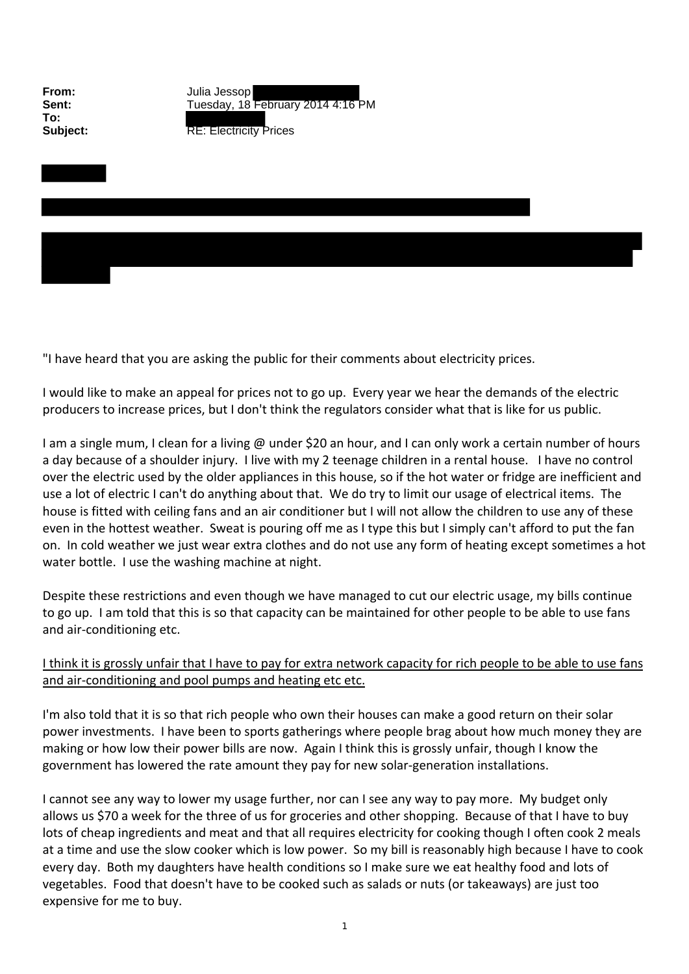**To:**

**From:** Julia Jessop **Sent:** Tuesday, 18 February 2014 4:16 PM

**Subject:** RE: Electricity Prices

"I have heard that you are asking the public for their comments about electricity prices.

I would like to make an appeal for prices not to go up. Every year we hear the demands of the electric producers to increase prices, but I don't think the regulators consider what that is like for us public.

I am a single mum, I clean for a living @ under \$20 an hour, and I can only work a certain number of hours a day because of a shoulder injury. I live with my 2 teenage children in a rental house. I have no control over the electric used by the older appliances in this house, so if the hot water or fridge are inefficient and use a lot of electric I can't do anything about that. We do try to limit our usage of electrical items. The house is fitted with ceiling fans and an air conditioner but I will not allow the children to use any of these even in the hottest weather. Sweat is pouring off me as I type this but I simply can't afford to put the fan on. In cold weather we just wear extra clothes and do not use any form of heating except sometimes a hot water bottle. I use the washing machine at night.

Despite these restrictions and even though we have managed to cut our electric usage, my bills continue to go up. I am told that this is so that capacity can be maintained for other people to be able to use fans and air‐conditioning etc.

## I think it is grossly unfair that I have to pay for extra network capacity for rich people to be able to use fans and air‐conditioning and pool pumps and heating etc etc.

I'm also told that it is so that rich people who own their houses can make a good return on their solar power investments. I have been to sports gatherings where people brag about how much money they are making or how low their power bills are now. Again I think this is grossly unfair, though I know the government has lowered the rate amount they pay for new solar‐generation installations.

I cannot see any way to lower my usage further, nor can I see any way to pay more. My budget only allows us \$70 a week for the three of us for groceries and other shopping. Because of that I have to buy lots of cheap ingredients and meat and that all requires electricity for cooking though I often cook 2 meals at a time and use the slow cooker which is low power. So my bill is reasonably high because I have to cook every day. Both my daughters have health conditions so I make sure we eat healthy food and lots of vegetables. Food that doesn't have to be cooked such as salads or nuts (or takeaways) are just too expensive for me to buy.